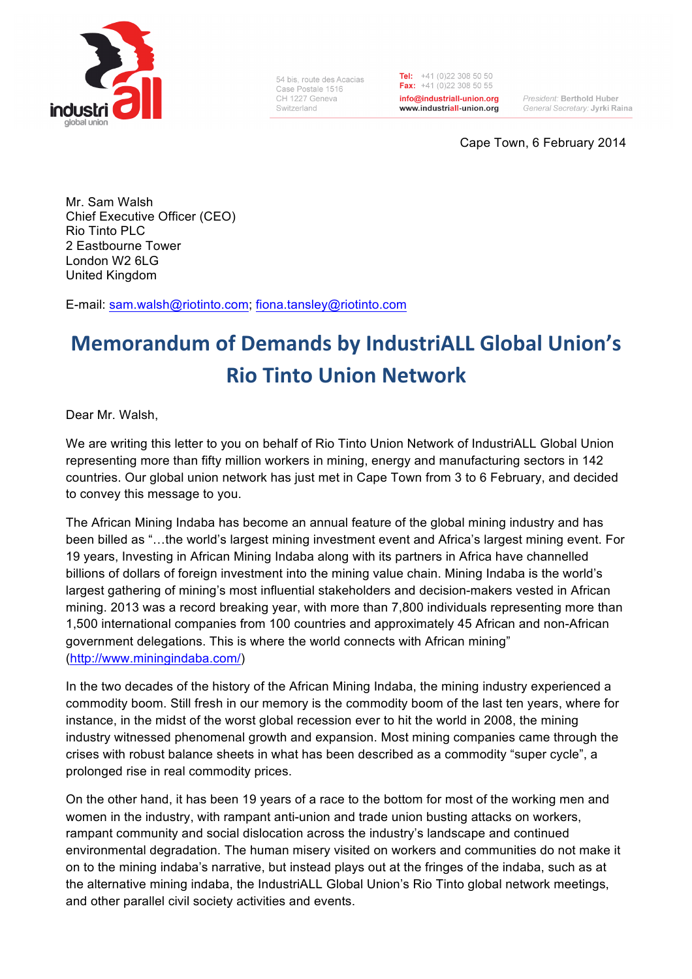

54 bis route des Acacias Case Postale 1516 CH 1227 Geneva Switzerland

Tel:  $+41(0)223085050$ Fax:  $+41(0)223085055$ info@industriall-union.org www.industriall-union.org

President: Berthold Huber General Secretary: Jyrki Raina

Cape Town, 6 February 2014

Mr. Sam Walsh Chief Executive Officer (CEO) Rio Tinto PLC 2 Eastbourne Tower London W2 6LG United Kingdom

E-mail: sam.walsh@riotinto.com; fiona.tansley@riotinto.com

## **Memorandum of Demands by IndustriALL Global Union's Rio Tinto Union Network**

Dear Mr. Walsh,

We are writing this letter to you on behalf of Rio Tinto Union Network of IndustriALL Global Union representing more than fifty million workers in mining, energy and manufacturing sectors in 142 countries. Our global union network has just met in Cape Town from 3 to 6 February, and decided to convey this message to you.

The African Mining Indaba has become an annual feature of the global mining industry and has been billed as "…the world's largest mining investment event and Africa's largest mining event. For 19 years, Investing in African Mining Indaba along with its partners in Africa have channelled billions of dollars of foreign investment into the mining value chain. Mining Indaba is the world's largest gathering of mining's most influential stakeholders and decision-makers vested in African mining. 2013 was a record breaking year, with more than 7,800 individuals representing more than 1,500 international companies from 100 countries and approximately 45 African and non-African government delegations. This is where the world connects with African mining" (http://www.miningindaba.com/)

In the two decades of the history of the African Mining Indaba, the mining industry experienced a commodity boom. Still fresh in our memory is the commodity boom of the last ten years, where for instance, in the midst of the worst global recession ever to hit the world in 2008, the mining industry witnessed phenomenal growth and expansion. Most mining companies came through the crises with robust balance sheets in what has been described as a commodity "super cycle", a prolonged rise in real commodity prices.

On the other hand, it has been 19 years of a race to the bottom for most of the working men and women in the industry, with rampant anti-union and trade union busting attacks on workers, rampant community and social dislocation across the industry's landscape and continued environmental degradation. The human misery visited on workers and communities do not make it on to the mining indaba's narrative, but instead plays out at the fringes of the indaba, such as at the alternative mining indaba, the IndustriALL Global Union's Rio Tinto global network meetings, and other parallel civil society activities and events.